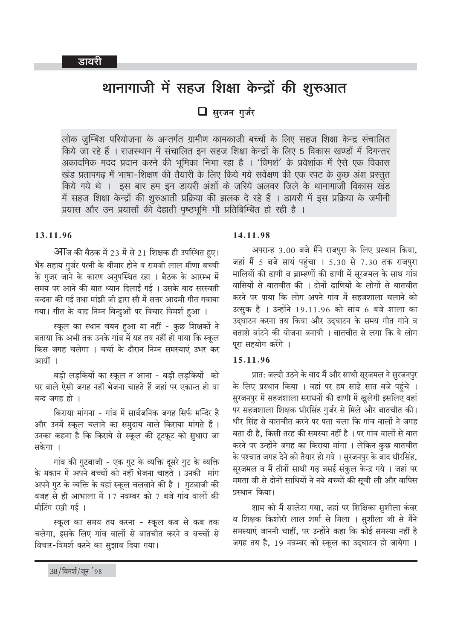# थानागाजी में सहज शिक्षा केन्द्रों की शुरूआत

 $\Box$  सरजन गर्जर

लोक जम्बिश परियोजना के अन्तर्गत ग्रामीण कामकाजी बच्चों के लिए सहज शिक्षा केन्द्र संचालित किये जा रहे हैं । राजस्थान में संचालित इन सहज शिक्षा केन्द्रों के लिए 5 विकास खण्डों में दिगन्तर अकादमिक मदद प्रदान करने की भूमिका निभा रहा है । 'विमर्श' के प्रवेशांक में ऐसे एक विकास खंड प्रतापगढ़ में भाषा-शिक्षण की तैयारी के लिए किये गये सर्वेक्षण की एक रपट के कुछ अंश प्रस्तुत किये गये थे । इस बार हम इन डायरी अंशों के जरिये अलवर जिले के थानागाजी विकास खंड में सहज शिक्षा केन्द्रों की शुरुआती प्रक्रिया की झलक दे रहे हैं । डायरी में इस प्रक्रिया के जमीनी प्रयास और उन प्रयासों की देहाती पृष्ठभूमि भी प्रतिबिम्बित हो रही है ।

#### 13.11.96

आजि की बैठक में 23 में से 21 शिक्षक ही उपस्थित हुए। भैंरु सहाय गुर्जर पत्नी के बीमार होने व रामजी लाल मीणा बच्ची के गुजर जाने के कारण अनुपस्थित रहा । बैठक के आरम्भ में समय पर आने की बात ध्यान दिलाई गई । उसके बाद सरस्वती वन्दना की गई तथा मांझी जी द्वारा सौ में सत्तर आदमी गीत गवाया गया। गीत के बाद निम्न बिन्दुओं पर विचार विमर्श हुआ ।

स्कूल का स्थान चयन हुआ या नहीं - कुछ शिक्षकों ने बताया कि अभी तक उनके गांव में यह तय नहीं हो पाया कि स्कूल किस जगह चलेगा । चर्चा के दौरान निम्न समस्याएं उभर कर आयीं ।

बड़ी लड़कियों का स्कूल न आना - बड़ी लड़कियों को घर वाले ऐसी जगह नहीं भेजना चाहते हैं जहां पर एकान्त हो या बन्द जगह हो ।

किराया मांगना - गांव में सार्वजनिक जगह सिर्फ मन्दिर है और उनमें स्कूल चलाने का समुदाय वाले किराया मांगते हैं। उनका कहना है कि किराये से स्कूल की टूटफूट को सुधारा जा सकेगा ।

गांव की गटबाजी - एक गट के व्यक्ति दसरे गट के व्यक्ति के मकान में अपने बच्चों को नहीं भेजना चाहते । उनकी मांग अपने गुट के व्यक्ति के यहां स्कूल चलवाने की है । गुटबाजी की वजह से ही आभाला में 17 नवम्बर को 7 बजे गांव वालों की मीटिंग रखी गई ।

स्कूल का समय तय करना - स्कूल कब से कब तक चलेगा, इसके लिए गांव वालों से बातचीत करने व बच्चों से विचार-विमर्श करने का सुझाव दिया गया।

#### 14.11.98

अपरान्ह 3.00 बजे मैंने राजपुरा के लिए प्रस्थान किया, जहां मैं 5 बजे सायं पहुंचा । 5.30 से 7.30 तक राजपुरा मालियों की ढाणी व ब्राम्हणों की ढाणी में सुरजमल के साथ गांव वासियों से बातचीत की । दोनों ढाणियों के लोगों से बातचीत करने पर पाया कि लोग अपने गांव में सहजशाला चलाने को उत्सुक है । उन्होंने 19.11.96 को सांय 6 बजे शाला का उद्घाटन करना तय किया और उद्घाटन के समय गीत गाने व बताशे बांटने की योजना बनायी । बातचीत से लगा कि ये लोग पूरा सहयोग करेंगे ।

#### 15.11.96

प्रात: जल्दी उठने के बाद मैं और साथी सूरजमल ने सुरजनपुर के लिए प्रस्थान किया । वहां पर हम साढे सात बजे पहंचे । सुरजनपुर में सहजशाला सराधनों की ढाणी में खुलेगी इसलिए वहां पर सहजशाला शिक्षक धीरसिंह गुर्जर से मिले और बातचीत की। धीर सिंह से बातचीत करने पर पता चला कि गांव वालों ने जगह बता दी है. किसी तरह की समस्या नहीं है । पर गांव वालों से बात करने पर उन्होंने जगह का किराया मांगा । लेकिन कुछ बातचीत के पश्चात जगह देने को तैयार हो गये । सुरजनपुर के बाद धीरसिंह, सूरजमल व मैं तीनों साथी गढ़ बसई संकुल केन्द्र गये । जहां पर ममता जी से दोनों साथियों ने नये बच्चों की सूची ली और वापिस प्रस्थान किया।

शाम को मैं सालेटा गया, जहां पर शिक्षिका सुशीला कंवर व शिक्षक किशोरी लाल शर्मा से मिला । सुशीला जी से मैंने समस्याएं जाननी चाहीं, पर उन्होंने कहा कि कोई समस्या नहीं है जगह तय है, 19 नवम्बर को स्कूल का उद्घाटन हो जायेगा ।

 $38/$ विमर्श/जून '98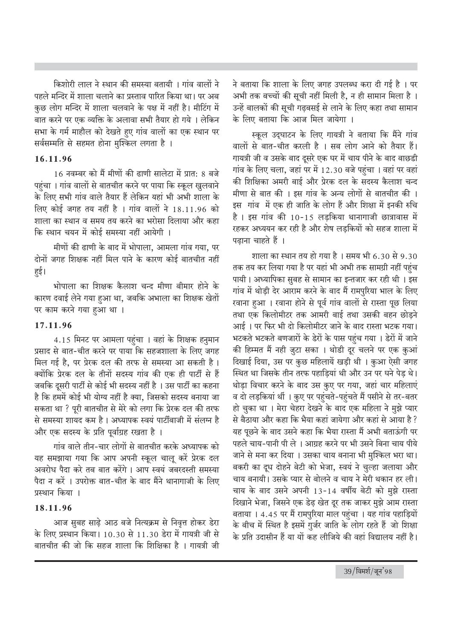किशोरी लाल ने स्थान की समस्या बतायी । गांव वालों ने पहले मन्दिर में शाला चलाने का प्रस्ताव पारित किया था। पर अब कुछ लोग मन्दिर में शाला चलवाने के पक्ष में नहीं है। मीटिंग में बात करने पर एक व्यक्ति के अलावा सभी तैयार हो गये । लेकिन सभा के गर्म माहौल को देखते हुए गांव वालों का एक स्थान पर सर्वसम्मति से सहमत होना मुश्किल लगता है ।

## 16.11.96

16 नवम्बर को मैं मीणों की ढाणी सालेटा में प्रात: 8 बजे पहुंचा । गांव वालों से बातचीत करने पर पाया कि स्कूल खुलवाने के लिए सभी गांव वाले तैयार हैं लेकिन यहां भी अभी शाला के लिए कोई जगह तय नहीं है । गांव वालों ने 18.11.96 को शाला का स्थान व समय तय करने का भरोसा दिलाया और कहा कि स्थान चयन में कोई समस्या नहीं आयेगी ।

मीणों की ढाणी के बाद में भोपाला. आमला गांव गया. पर दोनों जगह शिक्षक नहीं मिल पाने के कारण कोई बातचीत नहीं हई।

भोपाला का शिक्षक कैलाश चन्द मीणा बीमार होने के कारण दवाई लेने गया हुआ था, जबकि अभाला का शिक्षक खेतों पर काम करने गया हुआ था ।

# 17.11.96

4.15 मिनट पर आमला पहुंचा । वहां के शिक्षक हनुमान प्रसाद से बात-चीत करने पर पाया कि सहजशाला के लिए जगह मिल गई है. पर प्रेरक दल की तरफ से समस्या आ सकती है। क्योंकि प्रेरक दल के तीनों सदस्य गांव की एक ही पार्टी से हैं जबकि दुसरी पार्टी से कोई भी सदस्य नहीं है । उस पार्टी का कहना है कि हममें कोई भी योग्य नहीं है क्या, जिसको सदस्य बनाया जा सकता था ? पूरी बातचीत से मेरे को लगा कि प्रेरक दल की तरफ से समस्या शायद कम है। अध्यापक स्वयं पार्टीबाजी में संलग्न है और एक सदस्य के प्रति पूर्वाग्रह रखता है ।

गांव वाले तीन-चार लोगों से बातचीत करके अध्यापक को यह समझाया गया कि आप अपनी स्कूल चालू करें प्रेरक दल अवरोध पैदा करे तब बात करेंगे । आप स्वयं जबरदस्ती समस्या पैदा न करें । उपरोक्त बात-चीत के बाद मैंने थानागाजी के लिए प्रस्थान किया ।

### 18.11.96

आज सुबह साढ़े आठ बजे नित्यक्रम से निवृत्त होकर डेरा के लिए प्रस्थान किया। 10.30 से 11.30 डेरा में गायत्री जी से बातचीत की जो कि सहज शाला कि शिक्षिका है । गायत्री जी

ने बताया कि शाला के लिए जगह उपलब्ध करा दी गई है । पर अभी तक बच्चों की सूची नहीं मिली है, न ही सामान मिला है । उन्हें बालकों की सूची गढ़बसई से लाने के लिए कहा तथा सामान के लिए बताया कि आज मिल जायेगा ।

स्कूल उद्घाटन के लिए गायत्री ने बताया कि मैंने गांव वालों से बात-चीत करली है । सब लोग आने को तैयार हैं। गायत्री जी व उसके बाद दुसरे एक घर में चाय पीने के बाद बाछडी गांव के लिए चला, जहां पर में 12.30 बजे पहुंचा । वहां पर वहां की शिक्षिका अमरी बाई और प्रेरक दल के सदस्य कैलाश चन्द मीणा से बात की । इस गांव के अन्य लोगों से बातचीत की । इस गांव में एक ही जाति के लोग हैं और शिक्षा में इनकी रुचि है। इस गांव की 10-15 लडकिया थानागाजी छात्रावास में रहकर अध्ययन कर रही है और शेष लडकियों को सहज शाला में पढाना चाहते हैं ।

शाला का स्थान तय हो गया है । समय भी 6.30 से 9.30 तक तय कर लिया गया है पर यहां भी अभी तक सामग्री नहीं पहुंच पायी। अध्यापिका सुबह से सामान का इन्तजार कर रही थी। इस गांव में थोडी देर आराम करने के बाद मैं रामपरिया भाल के लिए खाना हुआ। खाना होने से पूर्व गांव वालों से रास्ता पूछ लिया तथा एक किलोमीटर तक आमरी बाई तथा उसकी बहन छोडने आई। पर फिर भी दो किलोमीटर जाने के बाद रास्ता भटक गया। भटकते भटकते बणजारों के डेरों के पास पहुंच गया । डेरों में जाने की हिम्मत मैं नही जुटा सका । थोडी दूर चलने पर एक कुआं दिखाई दिया, उस पर कुछ महिलायें खड़ी थी । कुआ ऐसी जगह स्थित था जिसके तीन तरफ पहाडियां थी और उन पर घने पेड थे। थोड़ा विचार करने के बाद उस कुए पर गया, जहां चार महिलाएं व दो लड़कियां थीं । कुए पर पहुंचते-पहुंचते मैं पसीने से तर-बतर हो चुका था । मेरा चेहरा देखने के बाद एक महिला ने मुझे प्यार से बैठाया और कहा कि भैया कहां जायेगा और कहां से आया है ? यह पूछने के बाद उसने कहा कि भैया रास्ता मैं अभी बताऊंगी पर पहले चाय-पानी पी ले । आग्रह करने पर भी उसने बिना चाय पीये जाने से मना कर दिया । उसका चाय बनाना भी मुश्किल भरा था। बकरी का दूध दोहने बेटी को भेजा, स्वयं ने चुल्हा जलाया और चाय बनायी। उसके प्यार से बोलने व चाय ने मेरी थकान हर ली। चाय के बाद उसने अपनी 13-14 वर्षीय बेटी को मुझे रास्ता दिखाने भेजा, जिसने एक डेढ़ खेत दूर तक जाकर मुझे आम रास्ता बताया । 4.45 पर मैं रामपुरिया माल पहुंचा । यह गांव पहाड़ियों के बीच में स्थित है इसमें गुर्जर जाति के लोग रहते हैं जो शिक्षा के प्रति उदासीन हैं या यों कह लीजिये की वहां विद्यालय नहीं है।